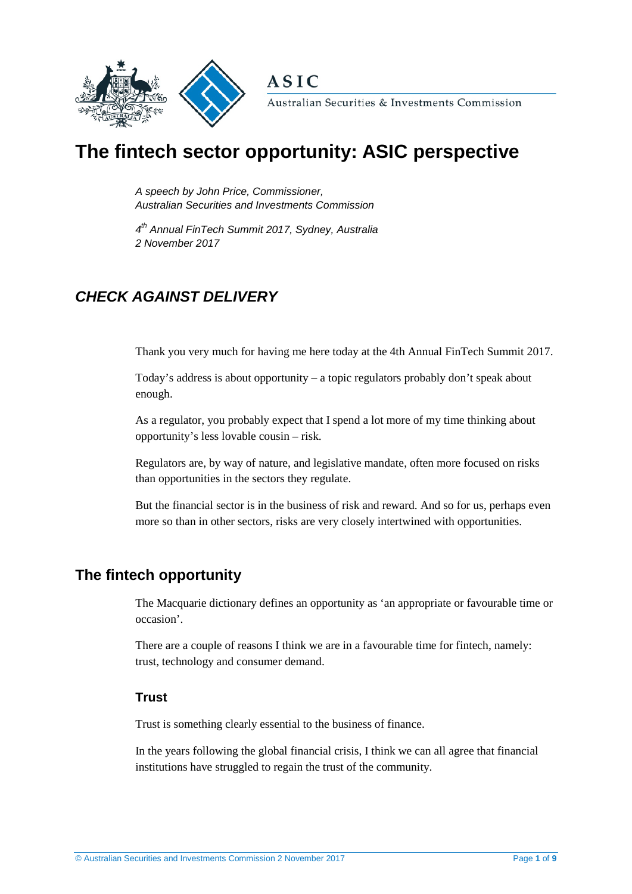

**ASIC** 

Australian Securities & Investments Commission

# **The fintech sector opportunity: ASIC perspective**

*A speech by John Price, Commissioner, Australian Securities and Investments Commission* 

*4th Annual FinTech Summit 2017, Sydney, Australia 2 November 2017*

## *CHECK AGAINST DELIVERY*

Thank you very much for having me here today at the 4th Annual FinTech Summit 2017.

Today's address is about opportunity – a topic regulators probably don't speak about enough.

As a regulator, you probably expect that I spend a lot more of my time thinking about opportunity's less lovable cousin – risk.

Regulators are, by way of nature, and legislative mandate, often more focused on risks than opportunities in the sectors they regulate.

But the financial sector is in the business of risk and reward. And so for us, perhaps even more so than in other sectors, risks are very closely intertwined with opportunities.

## **The fintech opportunity**

The Macquarie dictionary defines an opportunity as 'an appropriate or favourable time or occasion'.

There are a couple of reasons I think we are in a favourable time for fintech, namely: trust, technology and consumer demand.

#### **Trust**

Trust is something clearly essential to the business of finance.

In the years following the global financial crisis, I think we can all agree that financial institutions have struggled to regain the trust of the community.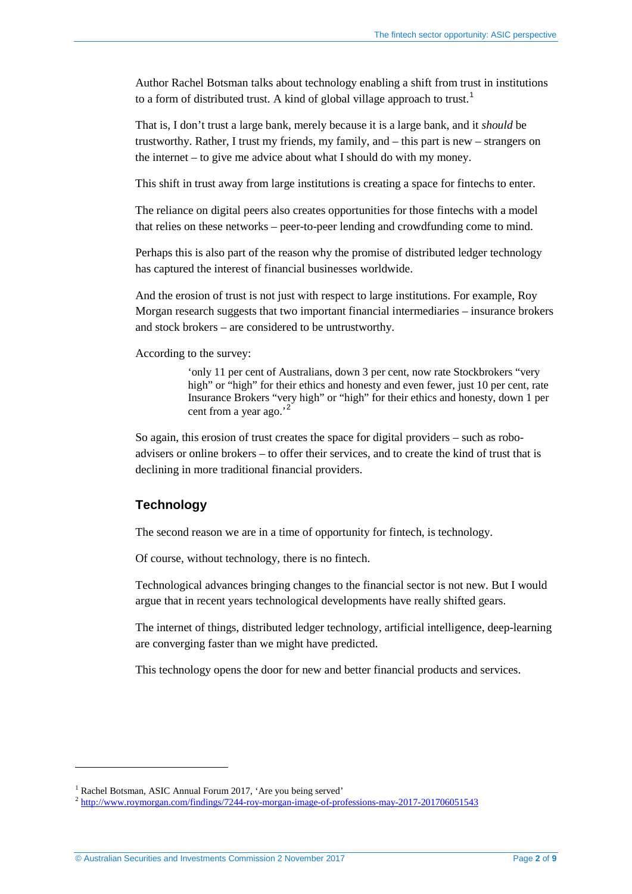Author Rachel Botsman talks about technology enabling a shift from trust in institutions to a form of distributed trust. A kind of global village approach to trust.<sup>[1](#page-1-0)</sup>

That is, I don't trust a large bank, merely because it is a large bank, and it *should* be trustworthy. Rather, I trust my friends, my family, and – this part is new – strangers on the internet – to give me advice about what I should do with my money.

This shift in trust away from large institutions is creating a space for fintechs to enter.

The reliance on digital peers also creates opportunities for those fintechs with a model that relies on these networks – peer-to-peer lending and crowdfunding come to mind.

Perhaps this is also part of the reason why the promise of distributed ledger technology has captured the interest of financial businesses worldwide.

And the erosion of trust is not just with respect to large institutions. For example, Roy Morgan research suggests that two important financial intermediaries – insurance brokers and stock brokers – are considered to be untrustworthy.

According to the survey:

'only 11 per cent of Australians, down 3 per cent, now rate Stockbrokers "very high" or "high" for their ethics and honesty and even fewer, just 10 per cent, rate Insurance Brokers "very high" or "high" for their ethics and honesty, down 1 per cent from a year ago.'<sup>[2](#page-1-1)</sup>

So again, this erosion of trust creates the space for digital providers – such as roboadvisers or online brokers – to offer their services, and to create the kind of trust that is declining in more traditional financial providers.

#### **Technology**

The second reason we are in a time of opportunity for fintech, is technology.

Of course, without technology, there is no fintech.

Technological advances bringing changes to the financial sector is not new. But I would argue that in recent years technological developments have really shifted gears.

The internet of things, distributed ledger technology, artificial intelligence, deep-learning are converging faster than we might have predicted.

This technology opens the door for new and better financial products and services.

<u>.</u>

<span id="page-1-0"></span><sup>&</sup>lt;sup>1</sup> Rachel Botsman, ASIC Annual Forum 2017, 'Are you being served'

<span id="page-1-1"></span><sup>2</sup> <http://www.roymorgan.com/findings/7244-roy-morgan-image-of-professions-may-2017-201706051543>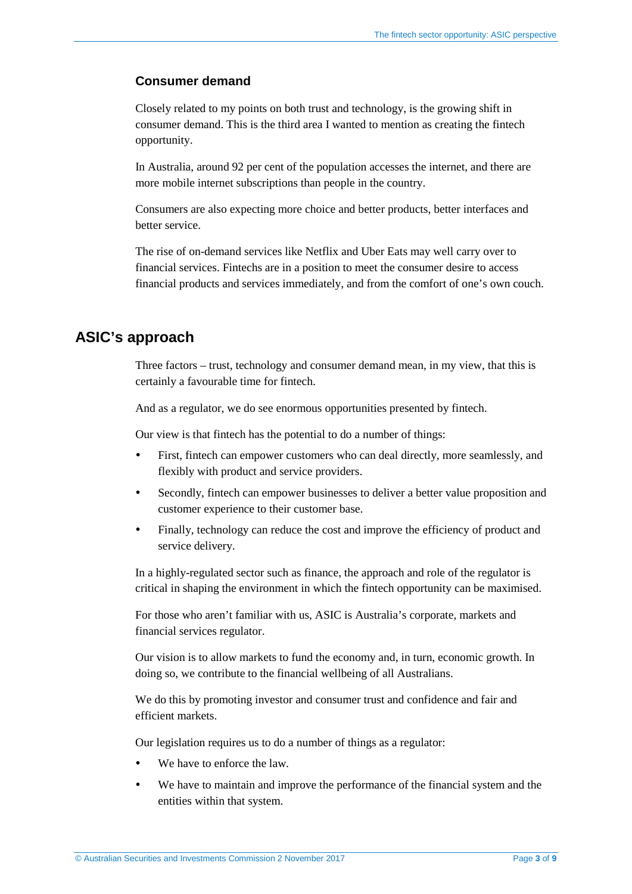#### **Consumer demand**

Closely related to my points on both trust and technology, is the growing shift in consumer demand. This is the third area I wanted to mention as creating the fintech opportunity.

In Australia, around 92 per cent of the population accesses the internet, and there are more mobile internet subscriptions than people in the country.

Consumers are also expecting more choice and better products, better interfaces and better service.

The rise of on-demand services like Netflix and Uber Eats may well carry over to financial services. Fintechs are in a position to meet the consumer desire to access financial products and services immediately, and from the comfort of one's own couch.

## **ASIC's approach**

Three factors – trust, technology and consumer demand mean, in my view, that this is certainly a favourable time for fintech.

And as a regulator, we do see enormous opportunities presented by fintech.

Our view is that fintech has the potential to do a number of things:

- First, fintech can empower customers who can deal directly, more seamlessly, and flexibly with product and service providers.
- Secondly, fintech can empower businesses to deliver a better value proposition and customer experience to their customer base.
- Finally, technology can reduce the cost and improve the efficiency of product and service delivery.

In a highly-regulated sector such as finance, the approach and role of the regulator is critical in shaping the environment in which the fintech opportunity can be maximised.

For those who aren't familiar with us, ASIC is Australia's corporate, markets and financial services regulator.

Our vision is to allow markets to fund the economy and, in turn, economic growth. In doing so, we contribute to the financial wellbeing of all Australians.

We do this by promoting investor and consumer trust and confidence and fair and efficient markets.

Our legislation requires us to do a number of things as a regulator:

- We have to enforce the law.
- We have to maintain and improve the performance of the financial system and the entities within that system.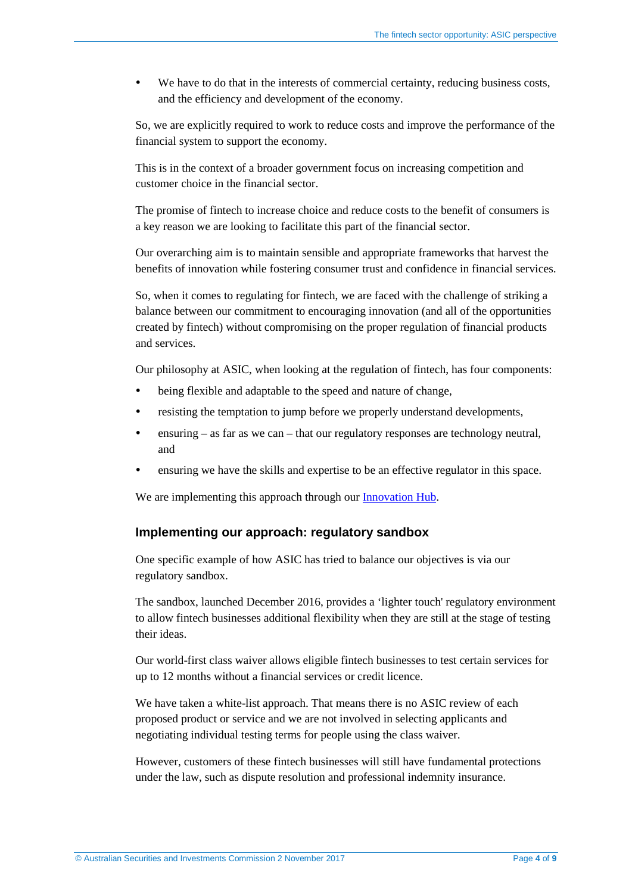We have to do that in the interests of commercial certainty, reducing business costs, and the efficiency and development of the economy.

So, we are explicitly required to work to reduce costs and improve the performance of the financial system to support the economy.

This is in the context of a broader government focus on increasing competition and customer choice in the financial sector.

The promise of fintech to increase choice and reduce costs to the benefit of consumers is a key reason we are looking to facilitate this part of the financial sector.

Our overarching aim is to maintain sensible and appropriate frameworks that harvest the benefits of innovation while fostering consumer trust and confidence in financial services.

So, when it comes to regulating for fintech, we are faced with the challenge of striking a balance between our commitment to encouraging innovation (and all of the opportunities created by fintech) without compromising on the proper regulation of financial products and services.

Our philosophy at ASIC, when looking at the regulation of fintech, has four components:

- being flexible and adaptable to the speed and nature of change,
- resisting the temptation to jump before we properly understand developments,
- ensuring as far as we can that our regulatory responses are technology neutral, and
- ensuring we have the skills and expertise to be an effective regulator in this space.

We are implementing this approach through our [Innovation Hub.](http://asic.gov.au/for-business/your-business/innovation-hub/)

#### **Implementing our approach: regulatory sandbox**

One specific example of how ASIC has tried to balance our objectives is via our regulatory sandbox.

The sandbox, launched December 2016, provides a 'lighter touch' regulatory environment to allow fintech businesses additional flexibility when they are still at the stage of testing their ideas.

Our world-first class waiver allows eligible fintech businesses to test certain services for up to 12 months without a financial services or credit licence.

We have taken a white-list approach. That means there is no ASIC review of each proposed product or service and we are not involved in selecting applicants and negotiating individual testing terms for people using the class waiver.

However, customers of these fintech businesses will still have fundamental protections under the law, such as dispute resolution and professional indemnity insurance.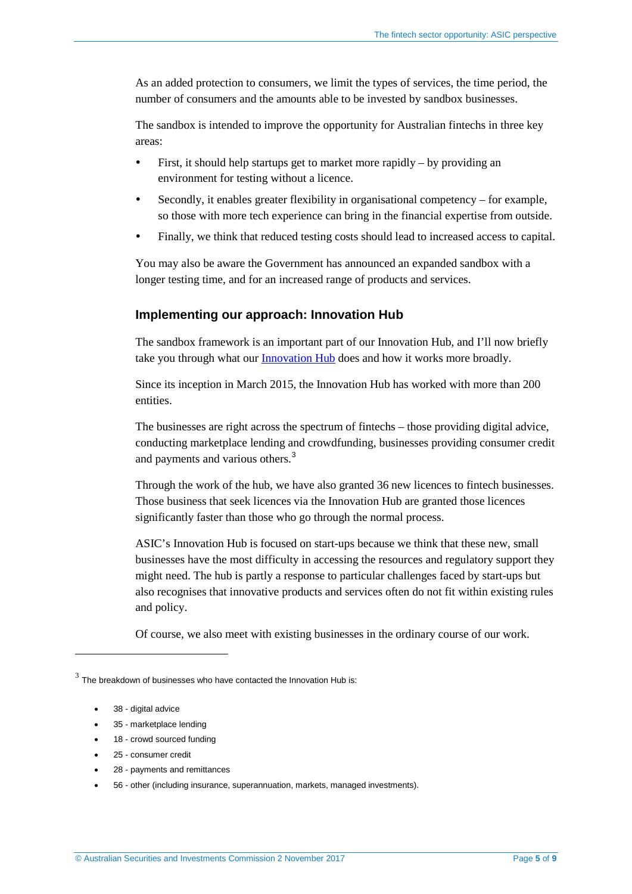As an added protection to consumers, we limit the types of services, the time period, the number of consumers and the amounts able to be invested by sandbox businesses.

The sandbox is intended to improve the opportunity for Australian fintechs in three key areas:

- First, it should help startups get to market more rapidly by providing an environment for testing without a licence.
- Secondly, it enables greater flexibility in organisational competency for example, so those with more tech experience can bring in the financial expertise from outside.
- Finally, we think that reduced testing costs should lead to increased access to capital.

You may also be aware the Government has announced an expanded sandbox with a longer testing time, and for an increased range of products and services.

#### **Implementing our approach: Innovation Hub**

The sandbox framework is an important part of our Innovation Hub, and I'll now briefly take you through what our [Innovation Hub](http://asic.gov.au/for-business/your-business/innovation-hub/) does and how it works more broadly.

Since its inception in March 2015, the Innovation Hub has worked with more than 200 entities.

The businesses are right across the spectrum of fintechs – those providing digital advice, conducting marketplace lending and crowdfunding, businesses providing consumer credit and payments and various others.[3](#page-4-0)

Through the work of the hub, we have also granted 36 new licences to fintech businesses. Those business that seek licences via the Innovation Hub are granted those licences significantly faster than those who go through the normal process.

ASIC's Innovation Hub is focused on start-ups because we think that these new, small businesses have the most difficulty in accessing the resources and regulatory support they might need. The hub is partly a response to particular challenges faced by start-ups but also recognises that innovative products and services often do not fit within existing rules and policy.

Of course, we also meet with existing businesses in the ordinary course of our work.

<u>.</u>

- 35 marketplace lending
- 18 crowd sourced funding
- 25 consumer credit
- 28 payments and remittances

<span id="page-4-0"></span> $3$  The breakdown of businesses who have contacted the Innovation Hub is:

<sup>38 -</sup> digital advice

<sup>•</sup> 56 - other (including insurance, superannuation, markets, managed investments).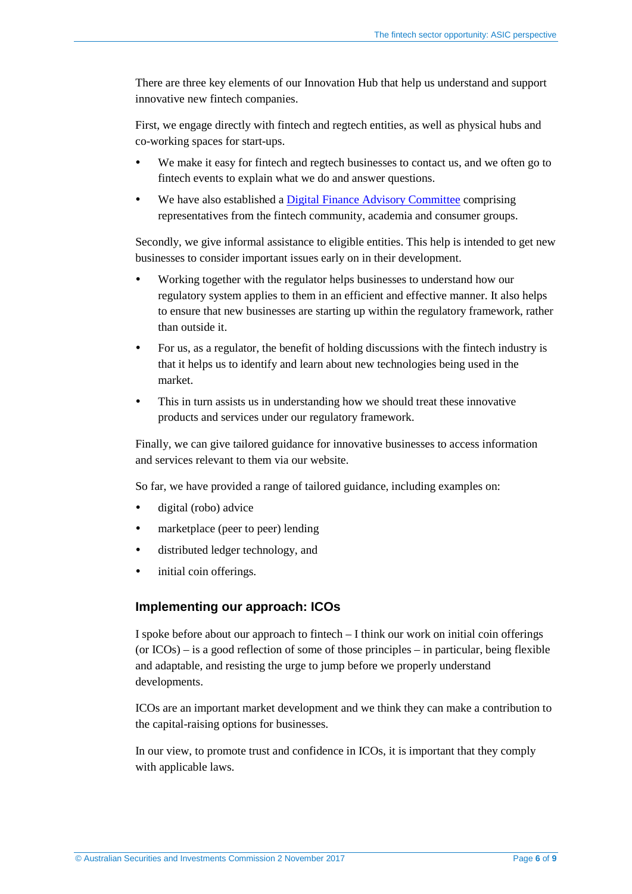There are three key elements of our Innovation Hub that help us understand and support innovative new fintech companies.

First, we engage directly with fintech and regtech entities, as well as physical hubs and co-working spaces for start-ups.

- We make it easy for fintech and regtech businesses to contact us, and we often go to fintech events to explain what we do and answer questions.
- We have also established a [Digital Finance Advisory Committee](http://asic.gov.au/for-business/your-business/innovation-hub/digital-finance-advisory-committee/) comprising representatives from the fintech community, academia and consumer groups.

Secondly, we give informal assistance to eligible entities. This help is intended to get new businesses to consider important issues early on in their development.

- Working together with the regulator helps businesses to understand how our regulatory system applies to them in an efficient and effective manner. It also helps to ensure that new businesses are starting up within the regulatory framework, rather than outside it.
- For us, as a regulator, the benefit of holding discussions with the fintech industry is that it helps us to identify and learn about new technologies being used in the market.
- This in turn assists us in understanding how we should treat these innovative products and services under our regulatory framework.

Finally, we can give tailored guidance for innovative businesses to access information and services relevant to them via our website.

So far, we have provided a range of tailored guidance, including examples on:

- digital (robo) advice
- marketplace (peer to peer) lending
- distributed ledger technology, and
- initial coin offerings.

#### **Implementing our approach: ICOs**

I spoke before about our approach to fintech – I think our work on initial coin offerings (or  $ICOs$ ) – is a good reflection of some of those principles – in particular, being flexible and adaptable, and resisting the urge to jump before we properly understand developments.

ICOs are an important market development and we think they can make a contribution to the capital-raising options for businesses.

In our view, to promote trust and confidence in ICOs, it is important that they comply with applicable laws.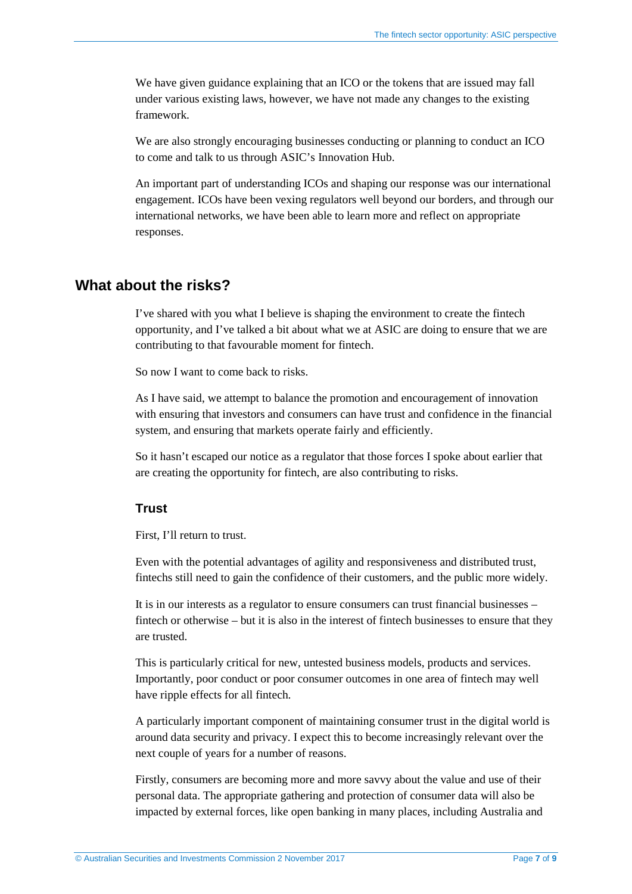We have given guidance explaining that an ICO or the tokens that are issued may fall under various existing laws, however, we have not made any changes to the existing framework.

We are also strongly encouraging businesses conducting or planning to conduct an ICO to come and talk to us through ASIC's Innovation Hub.

An important part of understanding ICOs and shaping our response was our international engagement. ICOs have been vexing regulators well beyond our borders, and through our international networks, we have been able to learn more and reflect on appropriate responses.

### **What about the risks?**

I've shared with you what I believe is shaping the environment to create the fintech opportunity, and I've talked a bit about what we at ASIC are doing to ensure that we are contributing to that favourable moment for fintech.

So now I want to come back to risks.

As I have said, we attempt to balance the promotion and encouragement of innovation with ensuring that investors and consumers can have trust and confidence in the financial system, and ensuring that markets operate fairly and efficiently.

So it hasn't escaped our notice as a regulator that those forces I spoke about earlier that are creating the opportunity for fintech, are also contributing to risks.

#### **Trust**

First, I'll return to trust.

Even with the potential advantages of agility and responsiveness and distributed trust, fintechs still need to gain the confidence of their customers, and the public more widely.

It is in our interests as a regulator to ensure consumers can trust financial businesses – fintech or otherwise – but it is also in the interest of fintech businesses to ensure that they are trusted.

This is particularly critical for new, untested business models, products and services. Importantly, poor conduct or poor consumer outcomes in one area of fintech may well have ripple effects for all fintech.

A particularly important component of maintaining consumer trust in the digital world is around data security and privacy. I expect this to become increasingly relevant over the next couple of years for a number of reasons.

Firstly, consumers are becoming more and more savvy about the value and use of their personal data. The appropriate gathering and protection of consumer data will also be impacted by external forces, like open banking in many places, including Australia and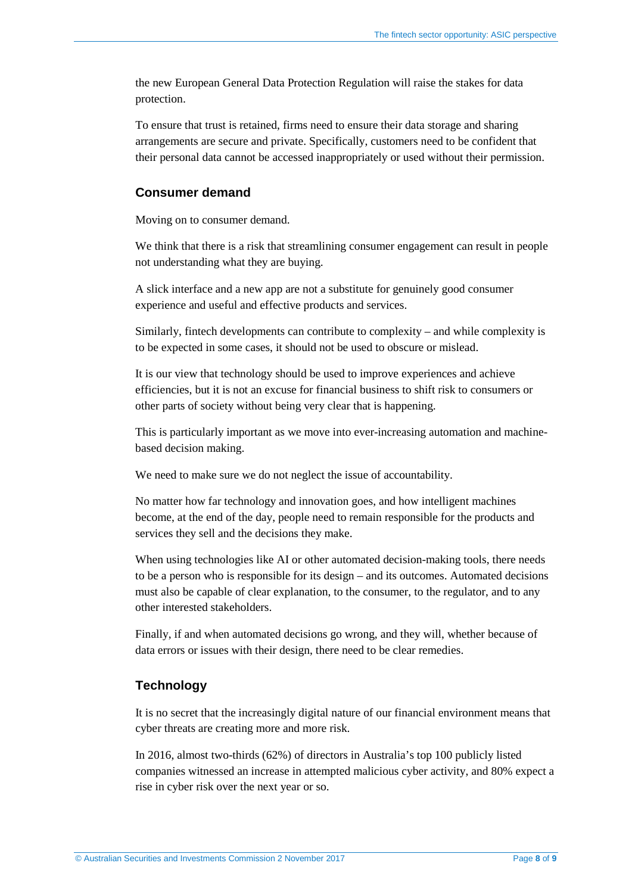the new European General Data Protection Regulation will raise the stakes for data protection.

To ensure that trust is retained, firms need to ensure their data storage and sharing arrangements are secure and private. Specifically, customers need to be confident that their personal data cannot be accessed inappropriately or used without their permission.

#### **Consumer demand**

Moving on to consumer demand.

We think that there is a risk that streamlining consumer engagement can result in people not understanding what they are buying.

A slick interface and a new app are not a substitute for genuinely good consumer experience and useful and effective products and services.

Similarly, fintech developments can contribute to complexity – and while complexity is to be expected in some cases, it should not be used to obscure or mislead.

It is our view that technology should be used to improve experiences and achieve efficiencies, but it is not an excuse for financial business to shift risk to consumers or other parts of society without being very clear that is happening.

This is particularly important as we move into ever-increasing automation and machinebased decision making.

We need to make sure we do not neglect the issue of accountability.

No matter how far technology and innovation goes, and how intelligent machines become, at the end of the day, people need to remain responsible for the products and services they sell and the decisions they make.

When using technologies like AI or other automated decision-making tools, there needs to be a person who is responsible for its design – and its outcomes. Automated decisions must also be capable of clear explanation, to the consumer, to the regulator, and to any other interested stakeholders.

Finally, if and when automated decisions go wrong, and they will, whether because of data errors or issues with their design, there need to be clear remedies.

#### **Technology**

It is no secret that the increasingly digital nature of our financial environment means that cyber threats are creating more and more risk.

In 2016, almost two-thirds (62%) of directors in Australia's top 100 publicly listed companies witnessed an increase in attempted malicious cyber activity, and 80% expect a rise in cyber risk over the next year or so.